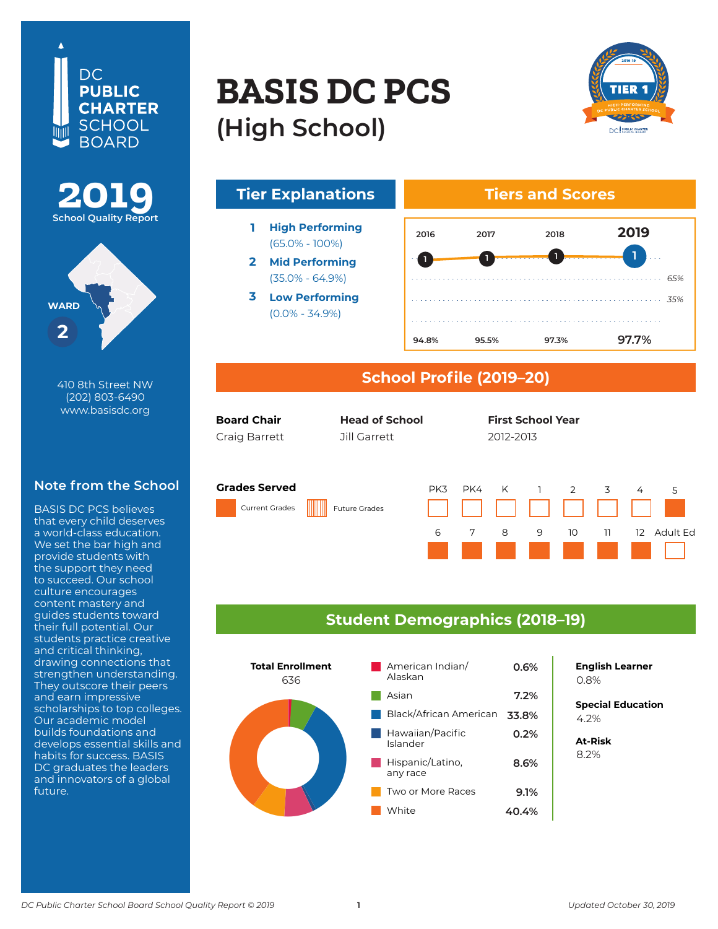





**410 8th Street NW** 410 8th Street NW **Washington, DC 20004** www.basisdc.org (202) 803-6490

#### **Note from the School**

BASIS DC PCS believes that every child deserves a world-class education. a world-class education.<br>We set the bar high and provide students with **the co** the support they need to succeed. Our school<br>... culture encourages content mastery and<br>guides students toward guides students toward<br>their full potential. Our show raw pocontial. Oali<br>students practice creative econsequence in the consequence drawing connections that strengthen understanding. They outscore their peers and earn impressive co scholarships to top colleges. Our academic model builds foundations and develops essential skills and<br>| nabits for success. BASIS<br>DC graduates the leaders De graduates the le and innovators of a global<br>future illum dolore eu feugiat de la construction de la construction de la construction de la construction de la const content mastery and habits for success. BASIS future.

# **BASIS DE 200 BASIS DC PCS (High School)**





### **School Profile (2019–20)**

| <b>Board Chair</b> | <b>Head of School</b> | <b>First School Year</b> |  |
|--------------------|-----------------------|--------------------------|--|
| Croig Porrott      | $7$ ill $C$ orrott    | דוחר רוחר                |  |

First Last First Last 2012-13 Craig Barrett 2012-2013 Jill Garrett

2012-2013

#### **Grades Served**

Current Grades Future Grades



PK3 PK4 K 1 2 3 4 5 10 11 12 Adult Ed

### **Student Demographics (2018–19)**



**8.4% English Learner** 0.8%

**Special Education** 5.0% 4.2%

**At-Risk** 8.5% 8.2%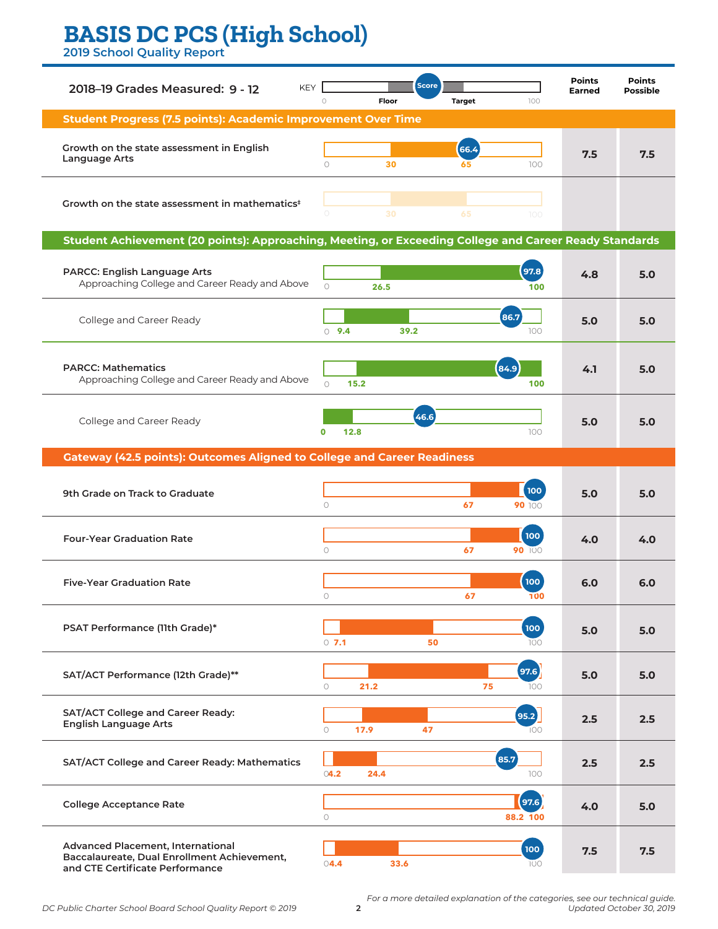# **BASIS DC PCS (High School) BASIS DC PCS (High School)**

**2019 School Quality Report**